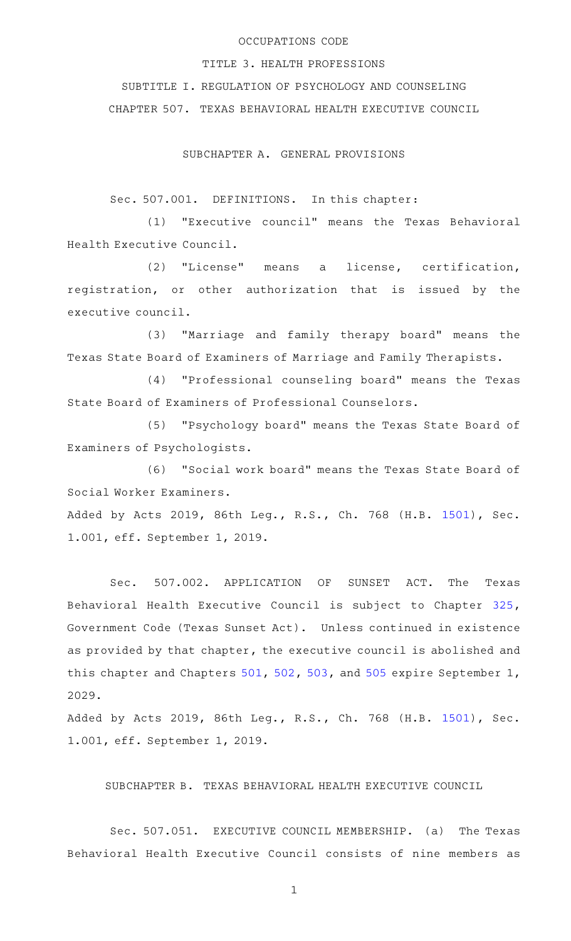## OCCUPATIONS CODE

TITLE 3. HEALTH PROFESSIONS

SUBTITLE I. REGULATION OF PSYCHOLOGY AND COUNSELING CHAPTER 507. TEXAS BEHAVIORAL HEALTH EXECUTIVE COUNCIL

SUBCHAPTER A. GENERAL PROVISIONS

Sec. 507.001. DEFINITIONS. In this chapter:

(1) "Executive council" means the Texas Behavioral Health Executive Council.

(2) "License" means a license, certification, registration, or other authorization that is issued by the executive council.

(3) "Marriage and family therapy board" means the Texas State Board of Examiners of Marriage and Family Therapists.

(4) "Professional counseling board" means the Texas State Board of Examiners of Professional Counselors.

(5) "Psychology board" means the Texas State Board of Examiners of Psychologists.

(6) "Social work board" means the Texas State Board of Social Worker Examiners.

Added by Acts 2019, 86th Leg., R.S., Ch. 768 (H.B. [1501](http://www.legis.state.tx.us/tlodocs/86R/billtext/html/HB01501F.HTM)), Sec. 1.001, eff. September 1, 2019.

Sec. 507.002. APPLICATION OF SUNSET ACT. The Texas Behavioral Health Executive Council is subject to Chapter [325](http://www.statutes.legis.state.tx.us/GetStatute.aspx?Code=GV&Value=325), Government Code (Texas Sunset Act). Unless continued in existence as provided by that chapter, the executive council is abolished and this chapter and Chapters [501,](http://www.statutes.legis.state.tx.us/GetStatute.aspx?Code=OC&Value=501) [502](http://www.statutes.legis.state.tx.us/GetStatute.aspx?Code=OC&Value=502), [503](http://www.statutes.legis.state.tx.us/GetStatute.aspx?Code=OC&Value=503), and [505](http://www.statutes.legis.state.tx.us/GetStatute.aspx?Code=OC&Value=505) expire September 1, 2029.

Added by Acts 2019, 86th Leg., R.S., Ch. 768 (H.B. [1501](http://www.legis.state.tx.us/tlodocs/86R/billtext/html/HB01501F.HTM)), Sec. 1.001, eff. September 1, 2019.

SUBCHAPTER B. TEXAS BEHAVIORAL HEALTH EXECUTIVE COUNCIL

Sec. 507.051. EXECUTIVE COUNCIL MEMBERSHIP. (a) The Texas Behavioral Health Executive Council consists of nine members as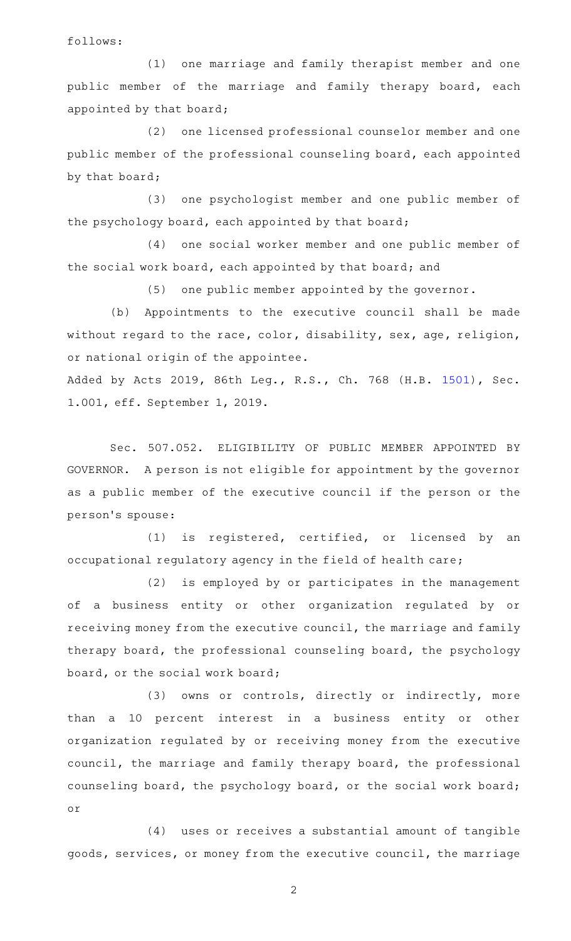follows:

(1) one marriage and family therapist member and one public member of the marriage and family therapy board, each appointed by that board;

(2) one licensed professional counselor member and one public member of the professional counseling board, each appointed by that board;

(3) one psychologist member and one public member of the psychology board, each appointed by that board;

(4) one social worker member and one public member of the social work board, each appointed by that board; and

 $(5)$  one public member appointed by the governor.

(b) Appointments to the executive council shall be made without regard to the race, color, disability, sex, age, religion, or national origin of the appointee.

Added by Acts 2019, 86th Leg., R.S., Ch. 768 (H.B. [1501](http://www.legis.state.tx.us/tlodocs/86R/billtext/html/HB01501F.HTM)), Sec. 1.001, eff. September 1, 2019.

Sec. 507.052. ELIGIBILITY OF PUBLIC MEMBER APPOINTED BY GOVERNOR. A person is not eligible for appointment by the governor as a public member of the executive council if the person or the person 's spouse:

(1) is registered, certified, or licensed by an occupational regulatory agency in the field of health care;

(2) is employed by or participates in the management of a business entity or other organization regulated by or receiving money from the executive council, the marriage and family therapy board, the professional counseling board, the psychology board, or the social work board;

(3) owns or controls, directly or indirectly, more than a 10 percent interest in a business entity or other organization regulated by or receiving money from the executive council, the marriage and family therapy board, the professional counseling board, the psychology board, or the social work board; or

(4) uses or receives a substantial amount of tangible goods, services, or money from the executive council, the marriage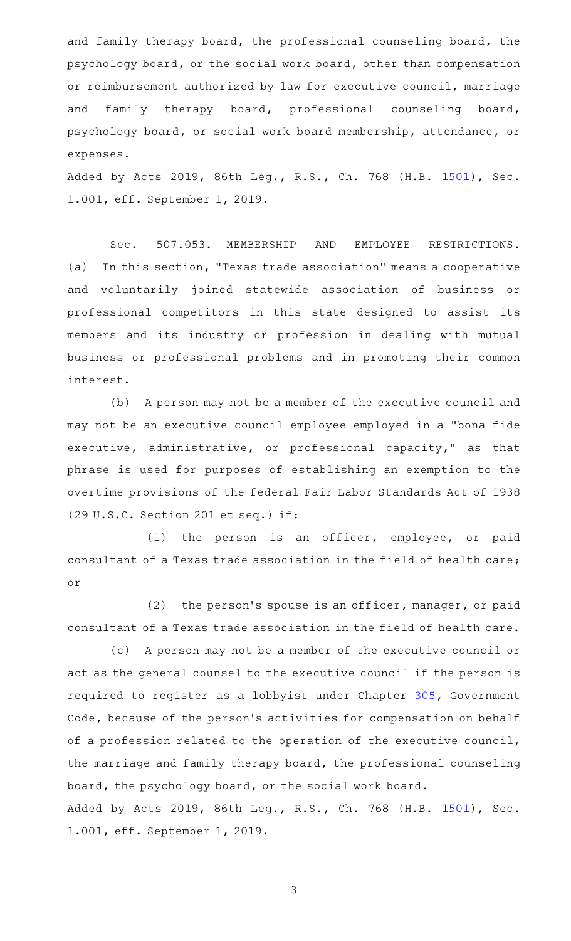and family therapy board, the professional counseling board, the psychology board, or the social work board, other than compensation or reimbursement authorized by law for executive council, marriage and family therapy board, professional counseling board, psychology board, or social work board membership, attendance, or expenses.

Added by Acts 2019, 86th Leg., R.S., Ch. 768 (H.B. [1501](http://www.legis.state.tx.us/tlodocs/86R/billtext/html/HB01501F.HTM)), Sec. 1.001, eff. September 1, 2019.

Sec. 507.053. MEMBERSHIP AND EMPLOYEE RESTRICTIONS. (a) In this section, "Texas trade association" means a cooperative and voluntarily joined statewide association of business or professional competitors in this state designed to assist its members and its industry or profession in dealing with mutual business or professional problems and in promoting their common interest.

(b) A person may not be a member of the executive council and may not be an executive council employee employed in a "bona fide executive, administrative, or professional capacity," as that phrase is used for purposes of establishing an exemption to the overtime provisions of the federal Fair Labor Standards Act of 1938 (29 U.S.C. Section 201 et seq.) if:

(1) the person is an officer, employee, or paid consultant of a Texas trade association in the field of health care; or

 $(2)$  the person's spouse is an officer, manager, or paid consultant of a Texas trade association in the field of health care.

(c) A person may not be a member of the executive council or act as the general counsel to the executive council if the person is required to register as a lobbyist under Chapter [305](http://www.statutes.legis.state.tx.us/GetStatute.aspx?Code=GV&Value=305), Government Code, because of the person's activities for compensation on behalf of a profession related to the operation of the executive council, the marriage and family therapy board, the professional counseling board, the psychology board, or the social work board. Added by Acts 2019, 86th Leg., R.S., Ch. 768 (H.B. [1501](http://www.legis.state.tx.us/tlodocs/86R/billtext/html/HB01501F.HTM)), Sec. 1.001, eff. September 1, 2019.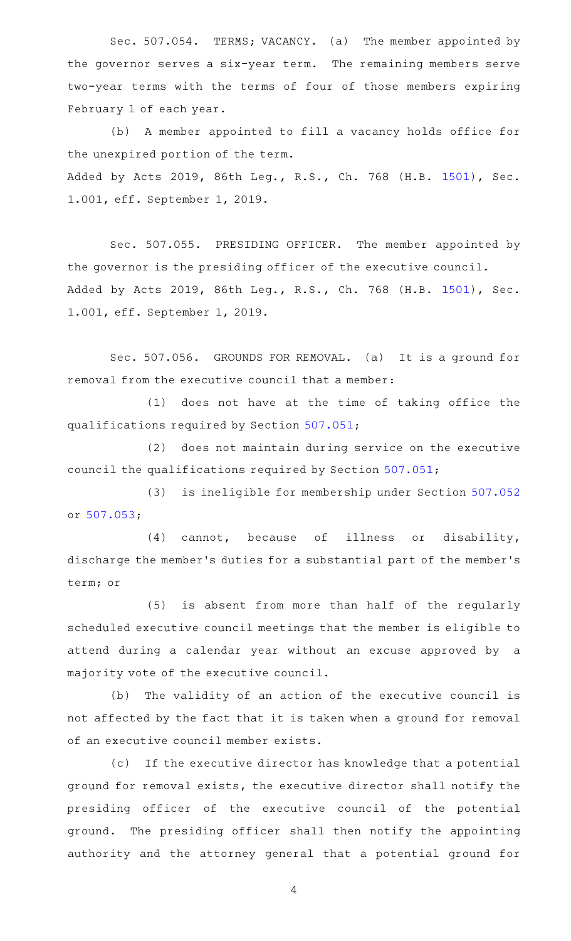Sec. 507.054. TERMS; VACANCY. (a) The member appointed by the governor serves a six-year term. The remaining members serve two-year terms with the terms of four of those members expiring February 1 of each year.

(b) A member appointed to fill a vacancy holds office for the unexpired portion of the term. Added by Acts 2019, 86th Leg., R.S., Ch. 768 (H.B. [1501](http://www.legis.state.tx.us/tlodocs/86R/billtext/html/HB01501F.HTM)), Sec. 1.001, eff. September 1, 2019.

Sec. 507.055. PRESIDING OFFICER. The member appointed by the governor is the presiding officer of the executive council. Added by Acts 2019, 86th Leg., R.S., Ch. 768 (H.B. [1501](http://www.legis.state.tx.us/tlodocs/86R/billtext/html/HB01501F.HTM)), Sec. 1.001, eff. September 1, 2019.

Sec. 507.056. GROUNDS FOR REMOVAL. (a) It is a ground for removal from the executive council that a member:

(1) does not have at the time of taking office the qualifications required by Section [507.051;](http://www.statutes.legis.state.tx.us/GetStatute.aspx?Code=OC&Value=507.051)

(2) does not maintain during service on the executive council the qualifications required by Section [507.051](http://www.statutes.legis.state.tx.us/GetStatute.aspx?Code=OC&Value=507.051);

(3) is ineligible for membership under Section [507.052](http://www.statutes.legis.state.tx.us/GetStatute.aspx?Code=OC&Value=507.052) or [507.053;](http://www.statutes.legis.state.tx.us/GetStatute.aspx?Code=OC&Value=507.053)

(4) cannot, because of illness or disability, discharge the member 's duties for a substantial part of the member 's term; or

(5) is absent from more than half of the regularly scheduled executive council meetings that the member is eligible to attend during a calendar year without an excuse approved by a majority vote of the executive council.

(b) The validity of an action of the executive council is not affected by the fact that it is taken when a ground for removal of an executive council member exists.

(c) If the executive director has knowledge that a potential ground for removal exists, the executive director shall notify the presiding officer of the executive council of the potential ground. The presiding officer shall then notify the appointing authority and the attorney general that a potential ground for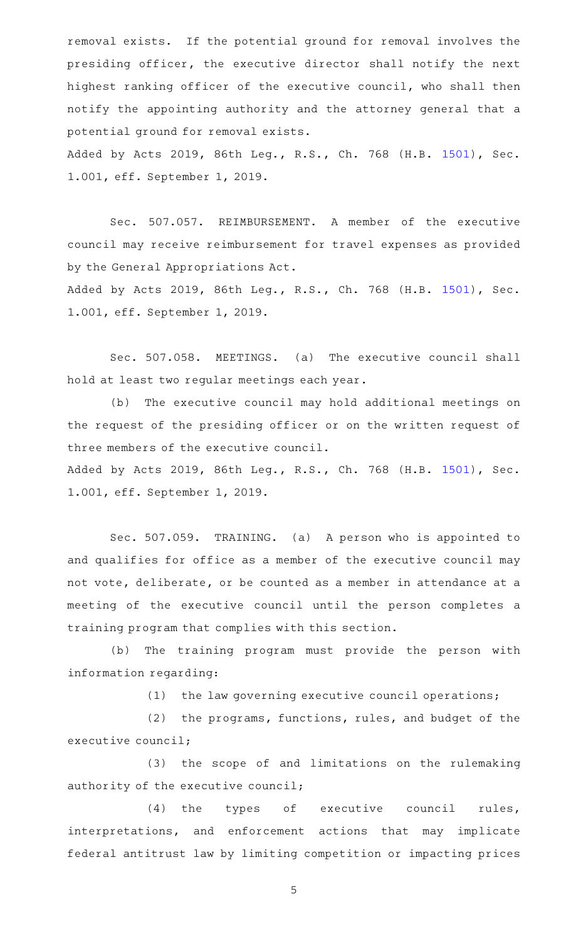removal exists. If the potential ground for removal involves the presiding officer, the executive director shall notify the next highest ranking officer of the executive council, who shall then notify the appointing authority and the attorney general that a potential ground for removal exists.

Added by Acts 2019, 86th Leg., R.S., Ch. 768 (H.B. [1501](http://www.legis.state.tx.us/tlodocs/86R/billtext/html/HB01501F.HTM)), Sec. 1.001, eff. September 1, 2019.

Sec. 507.057. REIMBURSEMENT. A member of the executive council may receive reimbursement for travel expenses as provided by the General Appropriations Act.

Added by Acts 2019, 86th Leg., R.S., Ch. 768 (H.B. [1501](http://www.legis.state.tx.us/tlodocs/86R/billtext/html/HB01501F.HTM)), Sec. 1.001, eff. September 1, 2019.

Sec. 507.058. MEETINGS. (a) The executive council shall hold at least two regular meetings each year.

(b) The executive council may hold additional meetings on the request of the presiding officer or on the written request of three members of the executive council.

Added by Acts 2019, 86th Leg., R.S., Ch. 768 (H.B. [1501](http://www.legis.state.tx.us/tlodocs/86R/billtext/html/HB01501F.HTM)), Sec. 1.001, eff. September 1, 2019.

Sec. 507.059. TRAINING. (a) A person who is appointed to and qualifies for office as a member of the executive council may not vote, deliberate, or be counted as a member in attendance at a meeting of the executive council until the person completes a training program that complies with this section.

(b) The training program must provide the person with information regarding:

 $(1)$  the law governing executive council operations;

(2) the programs, functions, rules, and budget of the executive council;

(3) the scope of and limitations on the rulemaking authority of the executive council;

(4) the types of executive council rules, interpretations, and enforcement actions that may implicate federal antitrust law by limiting competition or impacting prices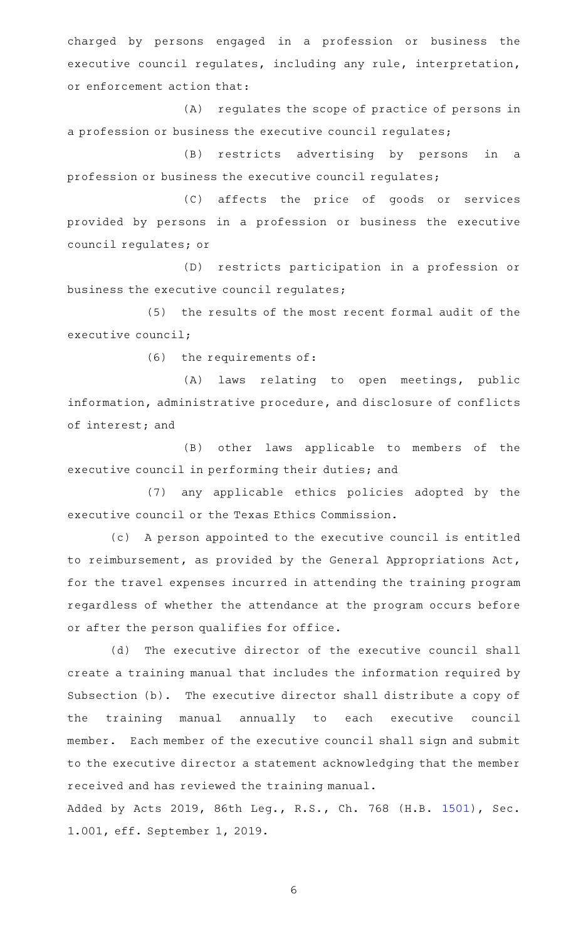charged by persons engaged in a profession or business the executive council regulates, including any rule, interpretation, or enforcement action that:

(A) regulates the scope of practice of persons in a profession or business the executive council regulates;

(B) restricts advertising by persons in a profession or business the executive council regulates;

(C) affects the price of goods or services provided by persons in a profession or business the executive council regulates; or

(D) restricts participation in a profession or business the executive council regulates;

(5) the results of the most recent formal audit of the executive council;

 $(6)$  the requirements of:

(A) laws relating to open meetings, public information, administrative procedure, and disclosure of conflicts of interest; and

(B) other laws applicable to members of the executive council in performing their duties; and

(7) any applicable ethics policies adopted by the executive council or the Texas Ethics Commission.

(c) A person appointed to the executive council is entitled to reimbursement, as provided by the General Appropriations Act, for the travel expenses incurred in attending the training program regardless of whether the attendance at the program occurs before or after the person qualifies for office.

(d) The executive director of the executive council shall create a training manual that includes the information required by Subsection (b). The executive director shall distribute a copy of the training manual annually to each executive council member. Each member of the executive council shall sign and submit to the executive director a statement acknowledging that the member received and has reviewed the training manual.

Added by Acts 2019, 86th Leg., R.S., Ch. 768 (H.B. [1501](http://www.legis.state.tx.us/tlodocs/86R/billtext/html/HB01501F.HTM)), Sec. 1.001, eff. September 1, 2019.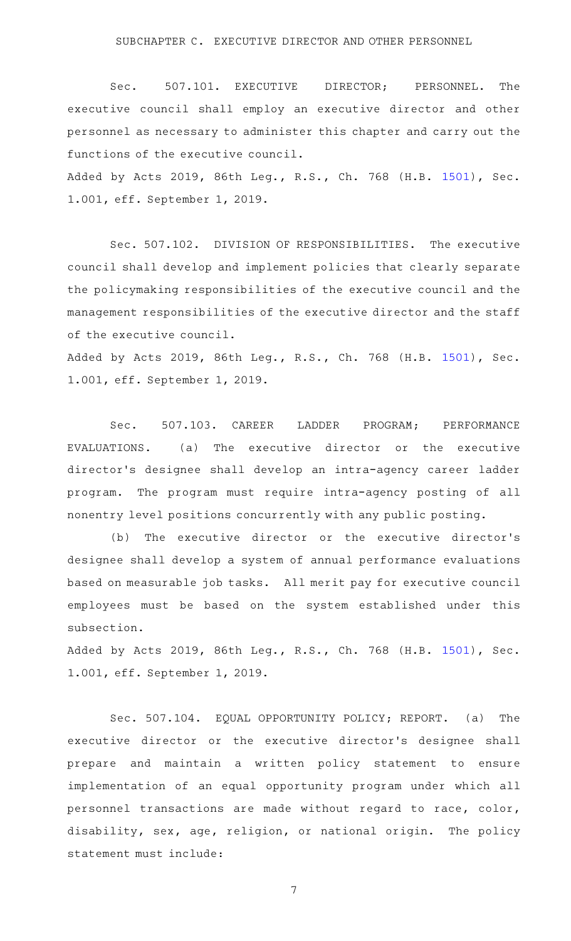Sec. 507.101. EXECUTIVE DIRECTOR; PERSONNEL. The executive council shall employ an executive director and other personnel as necessary to administer this chapter and carry out the functions of the executive council.

Added by Acts 2019, 86th Leg., R.S., Ch. 768 (H.B. [1501](http://www.legis.state.tx.us/tlodocs/86R/billtext/html/HB01501F.HTM)), Sec. 1.001, eff. September 1, 2019.

Sec. 507.102. DIVISION OF RESPONSIBILITIES. The executive council shall develop and implement policies that clearly separate the policymaking responsibilities of the executive council and the management responsibilities of the executive director and the staff of the executive council.

Added by Acts 2019, 86th Leg., R.S., Ch. 768 (H.B. [1501](http://www.legis.state.tx.us/tlodocs/86R/billtext/html/HB01501F.HTM)), Sec. 1.001, eff. September 1, 2019.

Sec. 507.103. CAREER LADDER PROGRAM; PERFORMANCE  $EVALUATIONS.$  (a) The executive director or the executive director 's designee shall develop an intra-agency career ladder program. The program must require intra-agency posting of all nonentry level positions concurrently with any public posting.

(b) The executive director or the executive director's designee shall develop a system of annual performance evaluations based on measurable job tasks. All merit pay for executive council employees must be based on the system established under this subsection.

Added by Acts 2019, 86th Leg., R.S., Ch. 768 (H.B. [1501](http://www.legis.state.tx.us/tlodocs/86R/billtext/html/HB01501F.HTM)), Sec. 1.001, eff. September 1, 2019.

Sec. 507.104. EQUAL OPPORTUNITY POLICY; REPORT. (a) The executive director or the executive director's designee shall prepare and maintain a written policy statement to ensure implementation of an equal opportunity program under which all personnel transactions are made without regard to race, color, disability, sex, age, religion, or national origin. The policy statement must include: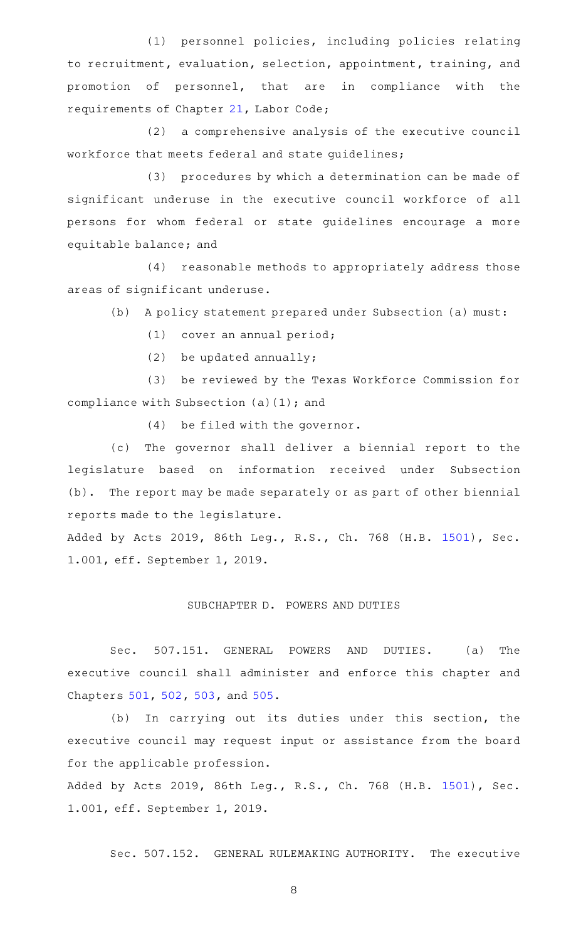(1) personnel policies, including policies relating to recruitment, evaluation, selection, appointment, training, and promotion of personnel, that are in compliance with the requirements of Chapter [21,](http://www.statutes.legis.state.tx.us/GetStatute.aspx?Code=LA&Value=21) Labor Code;

 $(2)$  a comprehensive analysis of the executive council workforce that meets federal and state guidelines;

(3) procedures by which a determination can be made of significant underuse in the executive council workforce of all persons for whom federal or state guidelines encourage a more equitable balance; and

(4) reasonable methods to appropriately address those areas of significant underuse.

(b) A policy statement prepared under Subsection (a) must:

(1) cover an annual period;

 $(2)$  be updated annually;

(3) be reviewed by the Texas Workforce Commission for compliance with Subsection (a)(1); and

 $(4)$  be filed with the governor.

(c) The governor shall deliver a biennial report to the legislature based on information received under Subsection (b). The report may be made separately or as part of other biennial reports made to the legislature.

Added by Acts 2019, 86th Leg., R.S., Ch. 768 (H.B. [1501](http://www.legis.state.tx.us/tlodocs/86R/billtext/html/HB01501F.HTM)), Sec. 1.001, eff. September 1, 2019.

### SUBCHAPTER D. POWERS AND DUTIES

Sec. 507.151. GENERAL POWERS AND DUTIES. (a) The executive council shall administer and enforce this chapter and Chapters [501](http://www.statutes.legis.state.tx.us/GetStatute.aspx?Code=OC&Value=501), [502](http://www.statutes.legis.state.tx.us/GetStatute.aspx?Code=OC&Value=502), [503,](http://www.statutes.legis.state.tx.us/GetStatute.aspx?Code=OC&Value=503) and [505](http://www.statutes.legis.state.tx.us/GetStatute.aspx?Code=OC&Value=505).

(b) In carrying out its duties under this section, the executive council may request input or assistance from the board for the applicable profession.

Added by Acts 2019, 86th Leg., R.S., Ch. 768 (H.B. [1501](http://www.legis.state.tx.us/tlodocs/86R/billtext/html/HB01501F.HTM)), Sec. 1.001, eff. September 1, 2019.

Sec. 507.152. GENERAL RULEMAKING AUTHORITY. The executive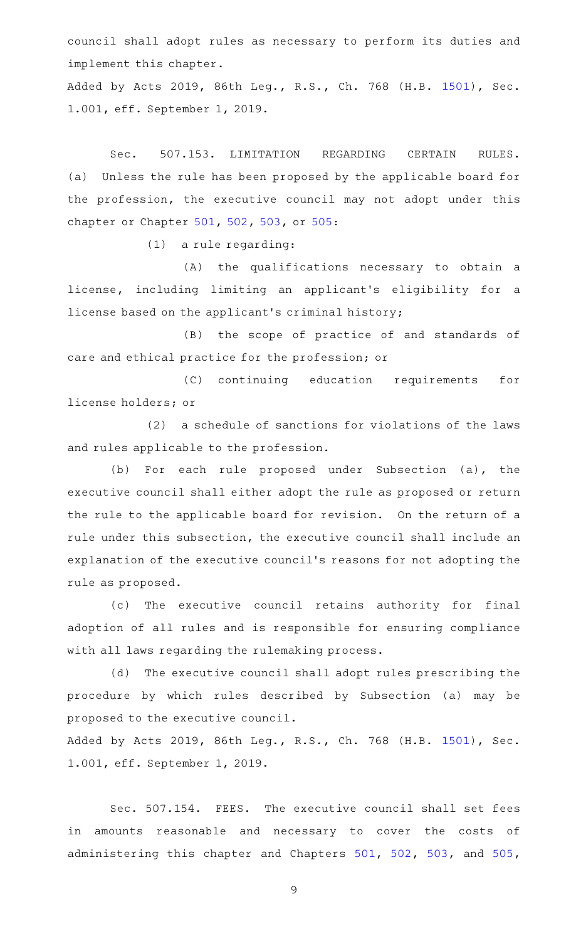council shall adopt rules as necessary to perform its duties and implement this chapter.

Added by Acts 2019, 86th Leg., R.S., Ch. 768 (H.B. [1501](http://www.legis.state.tx.us/tlodocs/86R/billtext/html/HB01501F.HTM)), Sec. 1.001, eff. September 1, 2019.

Sec. 507.153. LIMITATION REGARDING CERTAIN RULES. (a) Unless the rule has been proposed by the applicable board for the profession, the executive council may not adopt under this chapter or Chapter [501,](http://www.statutes.legis.state.tx.us/GetStatute.aspx?Code=OC&Value=501) [502,](http://www.statutes.legis.state.tx.us/GetStatute.aspx?Code=OC&Value=502) [503,](http://www.statutes.legis.state.tx.us/GetStatute.aspx?Code=OC&Value=503) or [505](http://www.statutes.legis.state.tx.us/GetStatute.aspx?Code=OC&Value=505):

 $(1)$  a rule regarding:

(A) the qualifications necessary to obtain a license, including limiting an applicant 's eligibility for a license based on the applicant 's criminal history;

(B) the scope of practice of and standards of care and ethical practice for the profession; or

(C) continuing education requirements for license holders; or

(2) a schedule of sanctions for violations of the laws and rules applicable to the profession.

(b) For each rule proposed under Subsection (a), the executive council shall either adopt the rule as proposed or return the rule to the applicable board for revision. On the return of a rule under this subsection, the executive council shall include an explanation of the executive council 's reasons for not adopting the rule as proposed.

(c) The executive council retains authority for final adoption of all rules and is responsible for ensuring compliance with all laws regarding the rulemaking process.

(d) The executive council shall adopt rules prescribing the procedure by which rules described by Subsection (a) may be proposed to the executive council.

Added by Acts 2019, 86th Leg., R.S., Ch. 768 (H.B. [1501](http://www.legis.state.tx.us/tlodocs/86R/billtext/html/HB01501F.HTM)), Sec. 1.001, eff. September 1, 2019.

Sec. 507.154. FEES. The executive council shall set fees in amounts reasonable and necessary to cover the costs of administering this chapter and Chapters [501](http://www.statutes.legis.state.tx.us/GetStatute.aspx?Code=OC&Value=501), [502](http://www.statutes.legis.state.tx.us/GetStatute.aspx?Code=OC&Value=502), [503](http://www.statutes.legis.state.tx.us/GetStatute.aspx?Code=OC&Value=503), and [505](http://www.statutes.legis.state.tx.us/GetStatute.aspx?Code=OC&Value=505),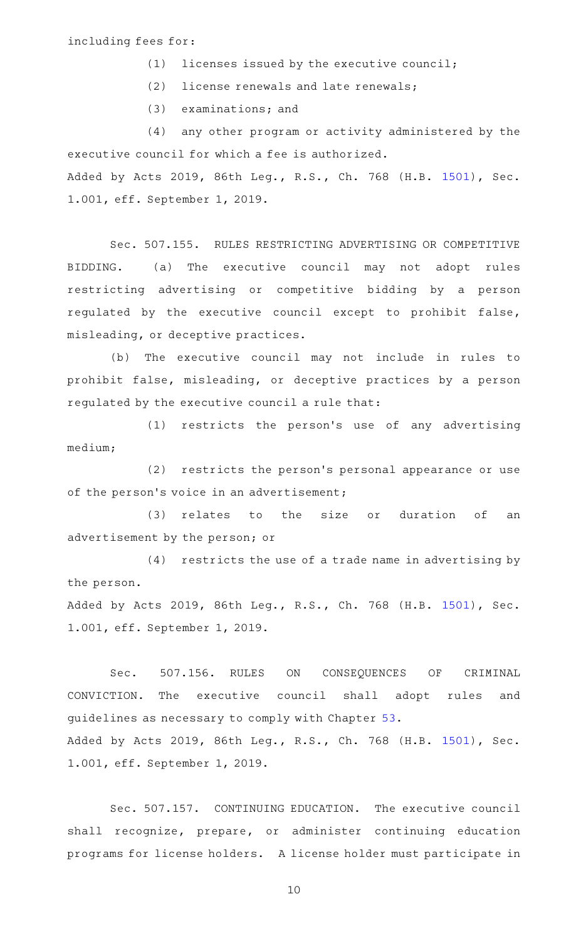### including fees for:

- $(1)$  licenses issued by the executive council;
- $(2)$  license renewals and late renewals;
- $(3)$  examinations; and

(4) any other program or activity administered by the executive council for which a fee is authorized. Added by Acts 2019, 86th Leg., R.S., Ch. 768 (H.B. [1501](http://www.legis.state.tx.us/tlodocs/86R/billtext/html/HB01501F.HTM)), Sec. 1.001, eff. September 1, 2019.

Sec. 507.155. RULES RESTRICTING ADVERTISING OR COMPETITIVE BIDDING. (a) The executive council may not adopt rules restricting advertising or competitive bidding by a person regulated by the executive council except to prohibit false, misleading, or deceptive practices.

(b) The executive council may not include in rules to prohibit false, misleading, or deceptive practices by a person regulated by the executive council a rule that:

 $(1)$  restricts the person's use of any advertising medium;

(2) restricts the person's personal appearance or use of the person's voice in an advertisement;

(3) relates to the size or duration of an advertisement by the person; or

 $(4)$  restricts the use of a trade name in advertising by the person.

Added by Acts 2019, 86th Leg., R.S., Ch. 768 (H.B. [1501](http://www.legis.state.tx.us/tlodocs/86R/billtext/html/HB01501F.HTM)), Sec. 1.001, eff. September 1, 2019.

Sec. 507.156. RULES ON CONSEQUENCES OF CRIMINAL CONVICTION. The executive council shall adopt rules and guidelines as necessary to comply with Chapter [53](http://www.statutes.legis.state.tx.us/GetStatute.aspx?Code=OC&Value=53). Added by Acts 2019, 86th Leg., R.S., Ch. 768 (H.B. [1501](http://www.legis.state.tx.us/tlodocs/86R/billtext/html/HB01501F.HTM)), Sec. 1.001, eff. September 1, 2019.

Sec. 507.157. CONTINUING EDUCATION. The executive council shall recognize, prepare, or administer continuing education programs for license holders. A license holder must participate in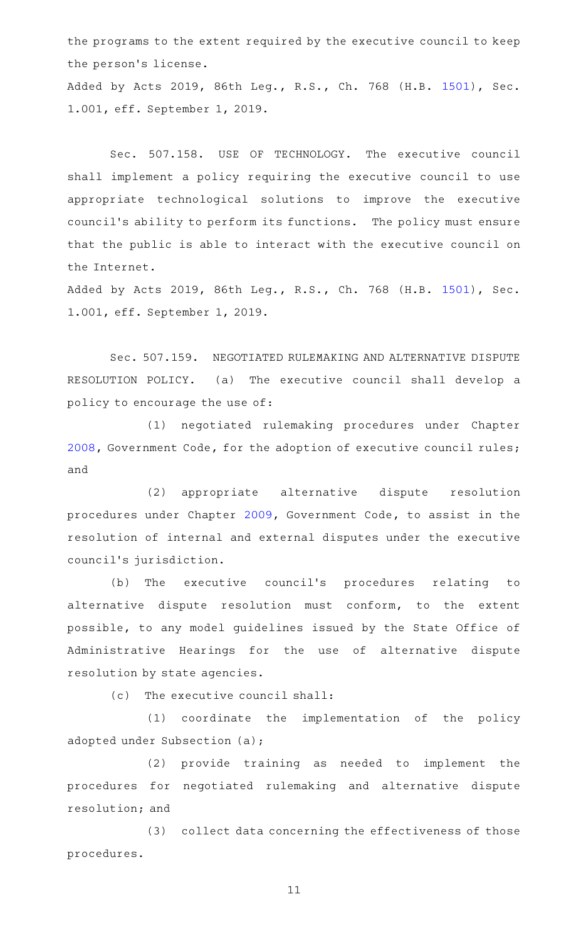the programs to the extent required by the executive council to keep the person's license.

Added by Acts 2019, 86th Leg., R.S., Ch. 768 (H.B. [1501](http://www.legis.state.tx.us/tlodocs/86R/billtext/html/HB01501F.HTM)), Sec. 1.001, eff. September 1, 2019.

Sec. 507.158. USE OF TECHNOLOGY. The executive council shall implement a policy requiring the executive council to use appropriate technological solutions to improve the executive council's ability to perform its functions. The policy must ensure that the public is able to interact with the executive council on the Internet.

Added by Acts 2019, 86th Leg., R.S., Ch. 768 (H.B. [1501](http://www.legis.state.tx.us/tlodocs/86R/billtext/html/HB01501F.HTM)), Sec. 1.001, eff. September 1, 2019.

Sec. 507.159. NEGOTIATED RULEMAKING AND ALTERNATIVE DISPUTE RESOLUTION POLICY. (a) The executive council shall develop a policy to encourage the use of:

(1) negotiated rulemaking procedures under Chapter [2008](http://www.statutes.legis.state.tx.us/GetStatute.aspx?Code=GV&Value=2008), Government Code, for the adoption of executive council rules; and

(2) appropriate alternative dispute resolution procedures under Chapter [2009,](http://www.statutes.legis.state.tx.us/GetStatute.aspx?Code=GV&Value=2009) Government Code, to assist in the resolution of internal and external disputes under the executive council 's jurisdiction.

(b) The executive council's procedures relating to alternative dispute resolution must conform, to the extent possible, to any model guidelines issued by the State Office of Administrative Hearings for the use of alternative dispute resolution by state agencies.

(c) The executive council shall:

(1) coordinate the implementation of the policy adopted under Subsection (a);

(2) provide training as needed to implement the procedures for negotiated rulemaking and alternative dispute resolution; and

(3) collect data concerning the effectiveness of those procedures.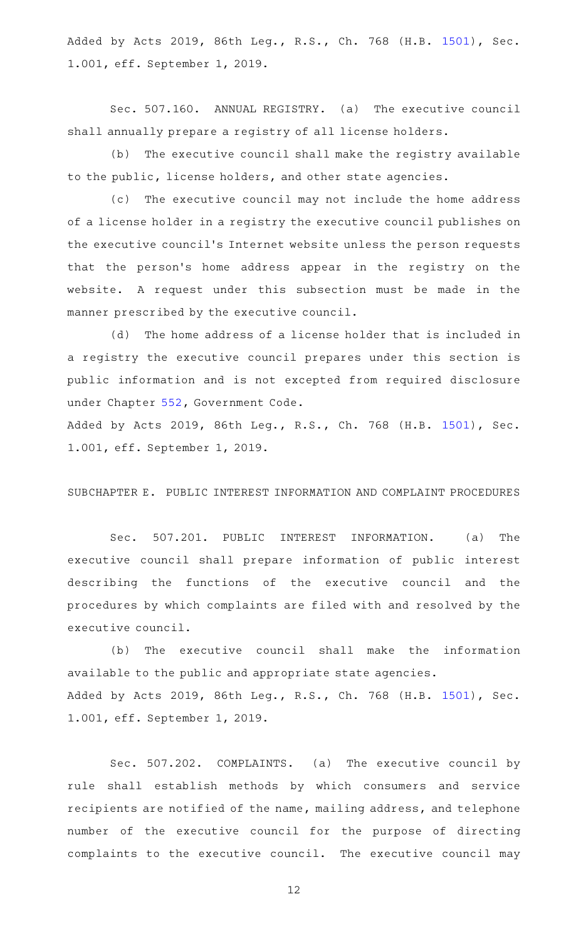Added by Acts 2019, 86th Leg., R.S., Ch. 768 (H.B. [1501](http://www.legis.state.tx.us/tlodocs/86R/billtext/html/HB01501F.HTM)), Sec. 1.001, eff. September 1, 2019.

Sec. 507.160. ANNUAL REGISTRY. (a) The executive council shall annually prepare a registry of all license holders.

(b) The executive council shall make the registry available to the public, license holders, and other state agencies.

(c) The executive council may not include the home address of a license holder in a registry the executive council publishes on the executive council 's Internet website unless the person requests that the person's home address appear in the registry on the website. A request under this subsection must be made in the manner prescribed by the executive council.

(d) The home address of a license holder that is included in a registry the executive council prepares under this section is public information and is not excepted from required disclosure under Chapter [552](http://www.statutes.legis.state.tx.us/GetStatute.aspx?Code=GV&Value=552), Government Code.

Added by Acts 2019, 86th Leg., R.S., Ch. 768 (H.B. [1501](http://www.legis.state.tx.us/tlodocs/86R/billtext/html/HB01501F.HTM)), Sec. 1.001, eff. September 1, 2019.

SUBCHAPTER E. PUBLIC INTEREST INFORMATION AND COMPLAINT PROCEDURES

Sec. 507.201. PUBLIC INTEREST INFORMATION. (a) The executive council shall prepare information of public interest describing the functions of the executive council and the procedures by which complaints are filed with and resolved by the executive council.

(b) The executive council shall make the information available to the public and appropriate state agencies. Added by Acts 2019, 86th Leg., R.S., Ch. 768 (H.B. [1501](http://www.legis.state.tx.us/tlodocs/86R/billtext/html/HB01501F.HTM)), Sec. 1.001, eff. September 1, 2019.

Sec. 507.202. COMPLAINTS. (a) The executive council by rule shall establish methods by which consumers and service recipients are notified of the name, mailing address, and telephone number of the executive council for the purpose of directing complaints to the executive council. The executive council may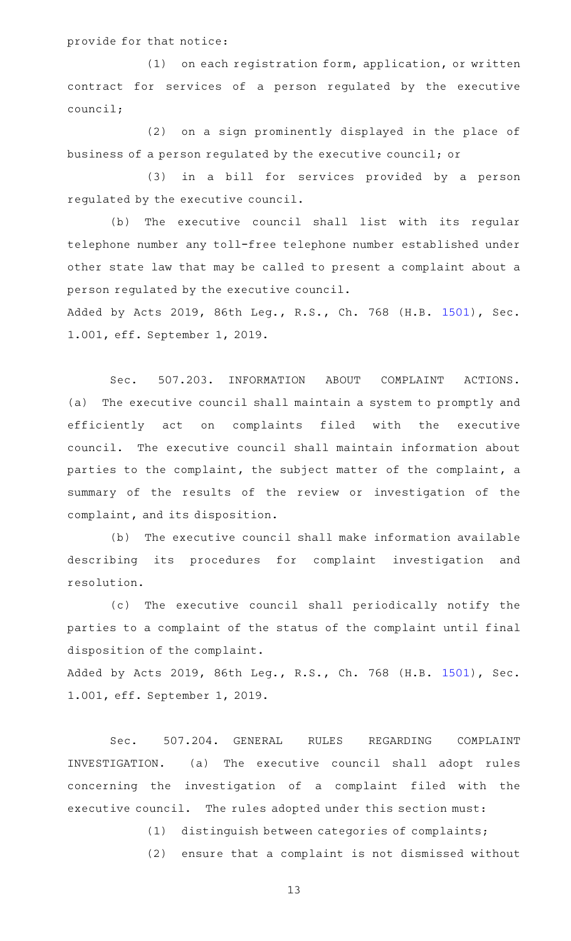# provide for that notice:

(1) on each registration form, application, or written contract for services of a person regulated by the executive council;

(2) on a sign prominently displayed in the place of business of a person regulated by the executive council; or

(3) in a bill for services provided by a person regulated by the executive council.

(b) The executive council shall list with its regular telephone number any toll-free telephone number established under other state law that may be called to present a complaint about a person regulated by the executive council.

Added by Acts 2019, 86th Leg., R.S., Ch. 768 (H.B. [1501](http://www.legis.state.tx.us/tlodocs/86R/billtext/html/HB01501F.HTM)), Sec. 1.001, eff. September 1, 2019.

Sec. 507.203. INFORMATION ABOUT COMPLAINT ACTIONS. (a) The executive council shall maintain a system to promptly and efficiently act on complaints filed with the executive council. The executive council shall maintain information about parties to the complaint, the subject matter of the complaint, a summary of the results of the review or investigation of the complaint, and its disposition.

(b) The executive council shall make information available describing its procedures for complaint investigation and resolution.

(c) The executive council shall periodically notify the parties to a complaint of the status of the complaint until final disposition of the complaint.

Added by Acts 2019, 86th Leg., R.S., Ch. 768 (H.B. [1501](http://www.legis.state.tx.us/tlodocs/86R/billtext/html/HB01501F.HTM)), Sec. 1.001, eff. September 1, 2019.

Sec. 507.204. GENERAL RULES REGARDING COMPLAINT INVESTIGATION. (a) The executive council shall adopt rules concerning the investigation of a complaint filed with the executive council. The rules adopted under this section must:

(1) distinguish between categories of complaints;

(2) ensure that a complaint is not dismissed without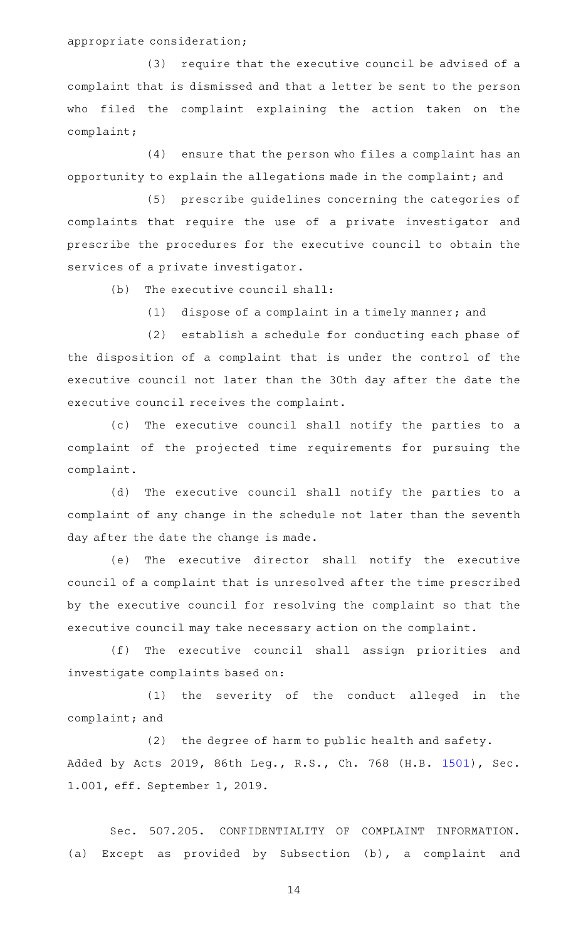appropriate consideration;

 $(3)$  require that the executive council be advised of a complaint that is dismissed and that a letter be sent to the person who filed the complaint explaining the action taken on the complaint;

 $(4)$  ensure that the person who files a complaint has an opportunity to explain the allegations made in the complaint; and

(5) prescribe guidelines concerning the categories of complaints that require the use of a private investigator and prescribe the procedures for the executive council to obtain the services of a private investigator.

 $(b)$  The executive council shall:

 $(1)$  dispose of a complaint in a timely manner; and

(2) establish a schedule for conducting each phase of the disposition of a complaint that is under the control of the executive council not later than the 30th day after the date the executive council receives the complaint.

(c) The executive council shall notify the parties to a complaint of the projected time requirements for pursuing the complaint.

(d) The executive council shall notify the parties to a complaint of any change in the schedule not later than the seventh day after the date the change is made.

(e) The executive director shall notify the executive council of a complaint that is unresolved after the time prescribed by the executive council for resolving the complaint so that the executive council may take necessary action on the complaint.

(f) The executive council shall assign priorities and investigate complaints based on:

(1) the severity of the conduct alleged in the complaint; and

(2) the degree of harm to public health and safety. Added by Acts 2019, 86th Leg., R.S., Ch. 768 (H.B. [1501](http://www.legis.state.tx.us/tlodocs/86R/billtext/html/HB01501F.HTM)), Sec. 1.001, eff. September 1, 2019.

Sec. 507.205. CONFIDENTIALITY OF COMPLAINT INFORMATION. (a) Except as provided by Subsection (b), a complaint and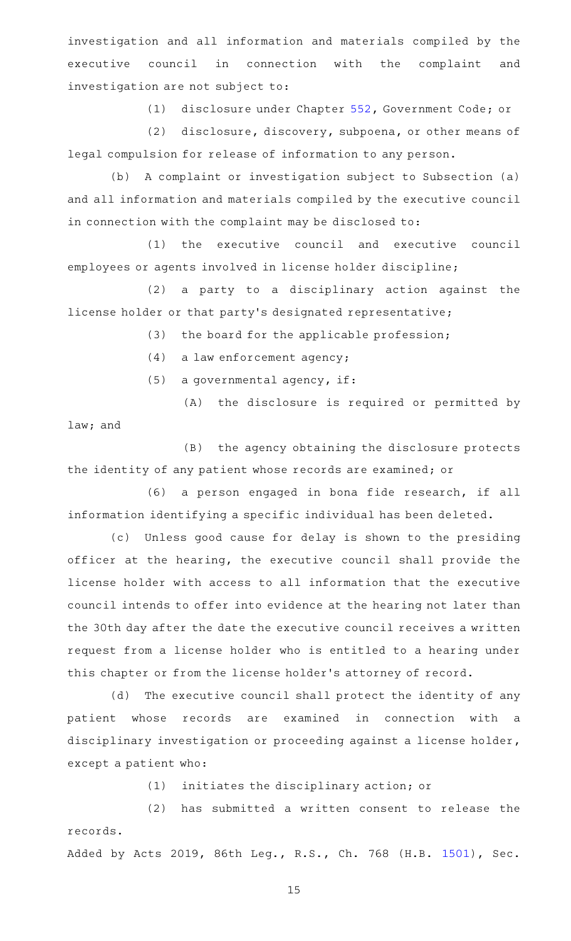investigation and all information and materials compiled by the executive council in connection with the complaint and investigation are not subject to:

(1) disclosure under Chapter [552](http://www.statutes.legis.state.tx.us/GetStatute.aspx?Code=GV&Value=552), Government Code; or

(2) disclosure, discovery, subpoena, or other means of legal compulsion for release of information to any person.

(b) A complaint or investigation subject to Subsection (a) and all information and materials compiled by the executive council in connection with the complaint may be disclosed to:

(1) the executive council and executive council employees or agents involved in license holder discipline;

(2) a party to a disciplinary action against the license holder or that party 's designated representative;

(3) the board for the applicable profession;

 $(4)$  a law enforcement agency;

 $(5)$  a governmental agency, if:

(A) the disclosure is required or permitted by

law; and

(B) the agency obtaining the disclosure protects the identity of any patient whose records are examined; or

(6) a person engaged in bona fide research, if all information identifying a specific individual has been deleted.

(c) Unless good cause for delay is shown to the presiding officer at the hearing, the executive council shall provide the license holder with access to all information that the executive council intends to offer into evidence at the hearing not later than the 30th day after the date the executive council receives a written request from a license holder who is entitled to a hearing under this chapter or from the license holder 's attorney of record.

(d) The executive council shall protect the identity of any patient whose records are examined in connection with a disciplinary investigation or proceeding against a license holder, except a patient who:

(1) initiates the disciplinary action; or

(2) has submitted a written consent to release the records.

Added by Acts 2019, 86th Leg., R.S., Ch. 768 (H.B. [1501](http://www.legis.state.tx.us/tlodocs/86R/billtext/html/HB01501F.HTM)), Sec.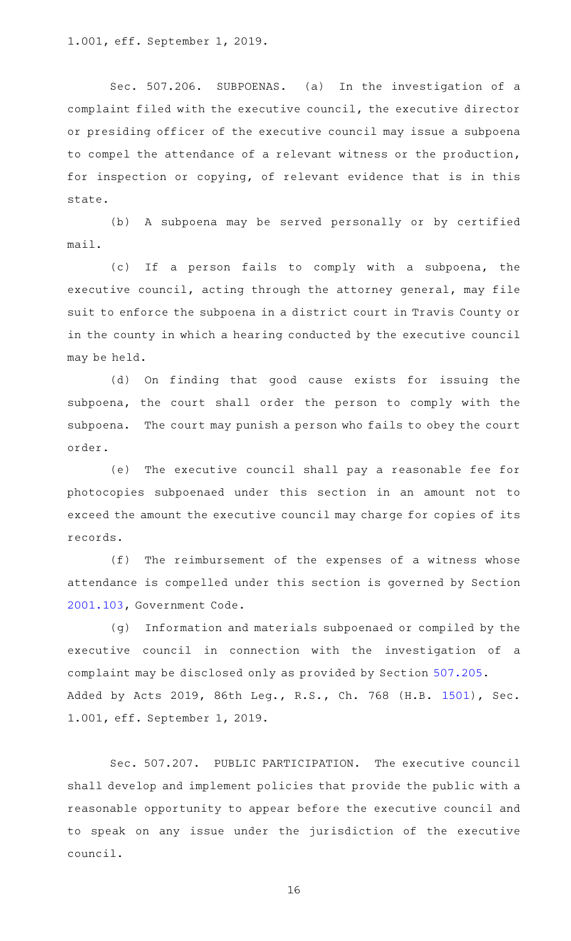1.001, eff. September 1, 2019.

Sec. 507.206. SUBPOENAS. (a) In the investigation of a complaint filed with the executive council, the executive director or presiding officer of the executive council may issue a subpoena to compel the attendance of a relevant witness or the production, for inspection or copying, of relevant evidence that is in this state.

(b) A subpoena may be served personally or by certified mail.

(c) If a person fails to comply with a subpoena, the executive council, acting through the attorney general, may file suit to enforce the subpoena in a district court in Travis County or in the county in which a hearing conducted by the executive council may be held.

(d) On finding that good cause exists for issuing the subpoena, the court shall order the person to comply with the subpoena. The court may punish a person who fails to obey the court order.

(e) The executive council shall pay a reasonable fee for photocopies subpoenaed under this section in an amount not to exceed the amount the executive council may charge for copies of its records.

 $(f)$  The reimbursement of the expenses of a witness whose attendance is compelled under this section is governed by Section [2001.103](http://www.statutes.legis.state.tx.us/GetStatute.aspx?Code=GV&Value=2001.103), Government Code.

(g) Information and materials subpoenaed or compiled by the executive council in connection with the investigation of a complaint may be disclosed only as provided by Section [507.205](http://www.statutes.legis.state.tx.us/GetStatute.aspx?Code=OC&Value=507.205). Added by Acts 2019, 86th Leg., R.S., Ch. 768 (H.B. [1501](http://www.legis.state.tx.us/tlodocs/86R/billtext/html/HB01501F.HTM)), Sec. 1.001, eff. September 1, 2019.

Sec. 507.207. PUBLIC PARTICIPATION. The executive council shall develop and implement policies that provide the public with a reasonable opportunity to appear before the executive council and to speak on any issue under the jurisdiction of the executive council.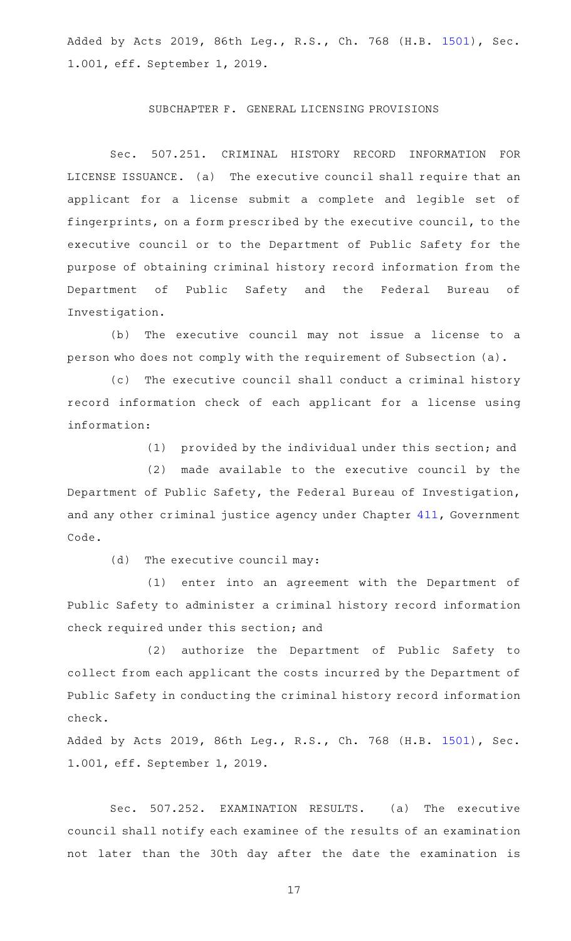Added by Acts 2019, 86th Leg., R.S., Ch. 768 (H.B. [1501](http://www.legis.state.tx.us/tlodocs/86R/billtext/html/HB01501F.HTM)), Sec. 1.001, eff. September 1, 2019.

### SUBCHAPTER F. GENERAL LICENSING PROVISIONS

Sec. 507.251. CRIMINAL HISTORY RECORD INFORMATION FOR LICENSE ISSUANCE. (a) The executive council shall require that an applicant for a license submit a complete and legible set of fingerprints, on a form prescribed by the executive council, to the executive council or to the Department of Public Safety for the purpose of obtaining criminal history record information from the Department of Public Safety and the Federal Bureau of Investigation.

(b) The executive council may not issue a license to a person who does not comply with the requirement of Subsection (a).

(c) The executive council shall conduct a criminal history record information check of each applicant for a license using information:

(1) provided by the individual under this section; and

 $(2)$  made available to the executive council by the Department of Public Safety, the Federal Bureau of Investigation, and any other criminal justice agency under Chapter [411,](http://www.statutes.legis.state.tx.us/GetStatute.aspx?Code=GV&Value=411) Government Code.

 $(d)$  The executive council may:

(1) enter into an agreement with the Department of Public Safety to administer a criminal history record information check required under this section; and

(2) authorize the Department of Public Safety to collect from each applicant the costs incurred by the Department of Public Safety in conducting the criminal history record information check.

Added by Acts 2019, 86th Leg., R.S., Ch. 768 (H.B. [1501](http://www.legis.state.tx.us/tlodocs/86R/billtext/html/HB01501F.HTM)), Sec. 1.001, eff. September 1, 2019.

Sec. 507.252. EXAMINATION RESULTS. (a) The executive council shall notify each examinee of the results of an examination not later than the 30th day after the date the examination is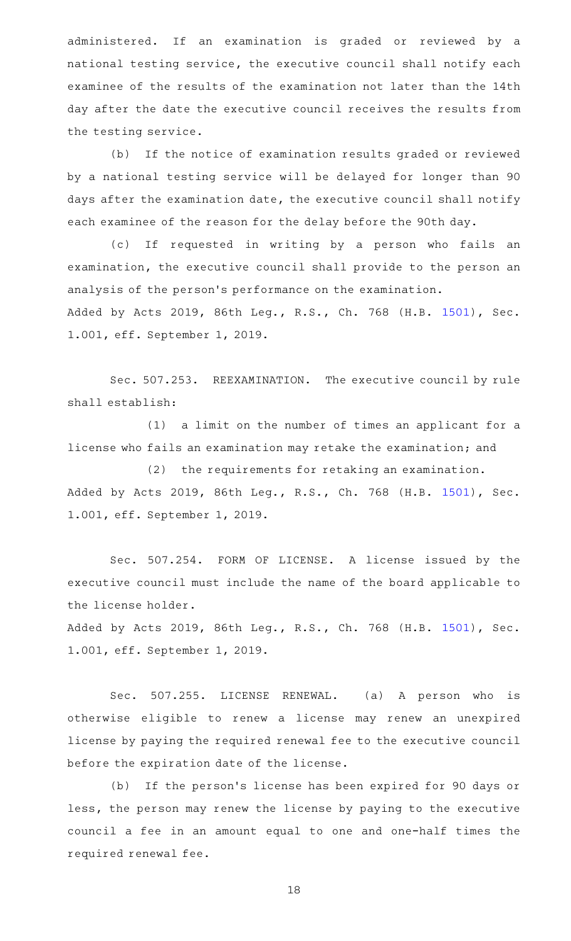administered. If an examination is graded or reviewed by a national testing service, the executive council shall notify each examinee of the results of the examination not later than the 14th day after the date the executive council receives the results from the testing service.

(b) If the notice of examination results graded or reviewed by a national testing service will be delayed for longer than 90 days after the examination date, the executive council shall notify each examinee of the reason for the delay before the 90th day.

(c) If requested in writing by a person who fails an examination, the executive council shall provide to the person an analysis of the person 's performance on the examination. Added by Acts 2019, 86th Leg., R.S., Ch. 768 (H.B. [1501](http://www.legis.state.tx.us/tlodocs/86R/billtext/html/HB01501F.HTM)), Sec.

1.001, eff. September 1, 2019.

Sec. 507.253. REEXAMINATION. The executive council by rule shall establish:

(1) a limit on the number of times an applicant for a license who fails an examination may retake the examination; and

 $(2)$  the requirements for retaking an examination. Added by Acts 2019, 86th Leg., R.S., Ch. 768 (H.B. [1501](http://www.legis.state.tx.us/tlodocs/86R/billtext/html/HB01501F.HTM)), Sec. 1.001, eff. September 1, 2019.

Sec. 507.254. FORM OF LICENSE. A license issued by the executive council must include the name of the board applicable to the license holder.

Added by Acts 2019, 86th Leg., R.S., Ch. 768 (H.B. [1501](http://www.legis.state.tx.us/tlodocs/86R/billtext/html/HB01501F.HTM)), Sec. 1.001, eff. September 1, 2019.

Sec. 507.255. LICENSE RENEWAL. (a) A person who is otherwise eligible to renew a license may renew an unexpired license by paying the required renewal fee to the executive council before the expiration date of the license.

(b) If the person's license has been expired for 90 days or less, the person may renew the license by paying to the executive council a fee in an amount equal to one and one-half times the required renewal fee.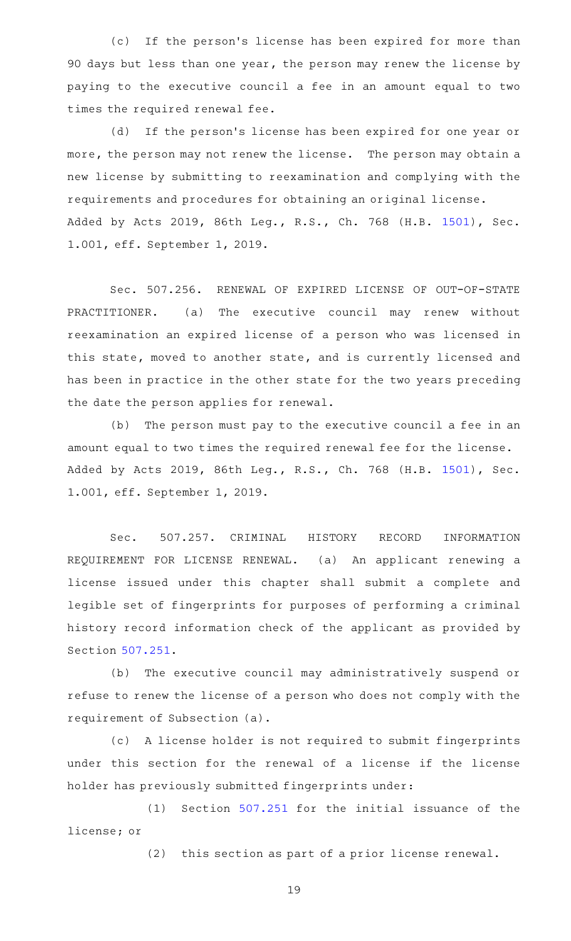(c) If the person's license has been expired for more than 90 days but less than one year, the person may renew the license by paying to the executive council a fee in an amount equal to two times the required renewal fee.

(d) If the person's license has been expired for one year or more, the person may not renew the license. The person may obtain a new license by submitting to reexamination and complying with the requirements and procedures for obtaining an original license. Added by Acts 2019, 86th Leg., R.S., Ch. 768 (H.B. [1501](http://www.legis.state.tx.us/tlodocs/86R/billtext/html/HB01501F.HTM)), Sec. 1.001, eff. September 1, 2019.

Sec. 507.256. RENEWAL OF EXPIRED LICENSE OF OUT-OF-STATE PRACTITIONER. (a) The executive council may renew without reexamination an expired license of a person who was licensed in this state, moved to another state, and is currently licensed and has been in practice in the other state for the two years preceding the date the person applies for renewal.

(b) The person must pay to the executive council a fee in an amount equal to two times the required renewal fee for the license. Added by Acts 2019, 86th Leg., R.S., Ch. 768 (H.B. [1501](http://www.legis.state.tx.us/tlodocs/86R/billtext/html/HB01501F.HTM)), Sec. 1.001, eff. September 1, 2019.

Sec. 507.257. CRIMINAL HISTORY RECORD INFORMATION REQUIREMENT FOR LICENSE RENEWAL. (a) An applicant renewing a license issued under this chapter shall submit a complete and legible set of fingerprints for purposes of performing a criminal history record information check of the applicant as provided by Section [507.251.](http://www.statutes.legis.state.tx.us/GetStatute.aspx?Code=OC&Value=507.251)

(b) The executive council may administratively suspend or refuse to renew the license of a person who does not comply with the requirement of Subsection (a).

(c)AAA license holder is not required to submit fingerprints under this section for the renewal of a license if the license holder has previously submitted fingerprints under:

 $(1)$  Section [507.251](http://www.statutes.legis.state.tx.us/GetStatute.aspx?Code=OC&Value=507.251) for the initial issuance of the license; or

(2) this section as part of a prior license renewal.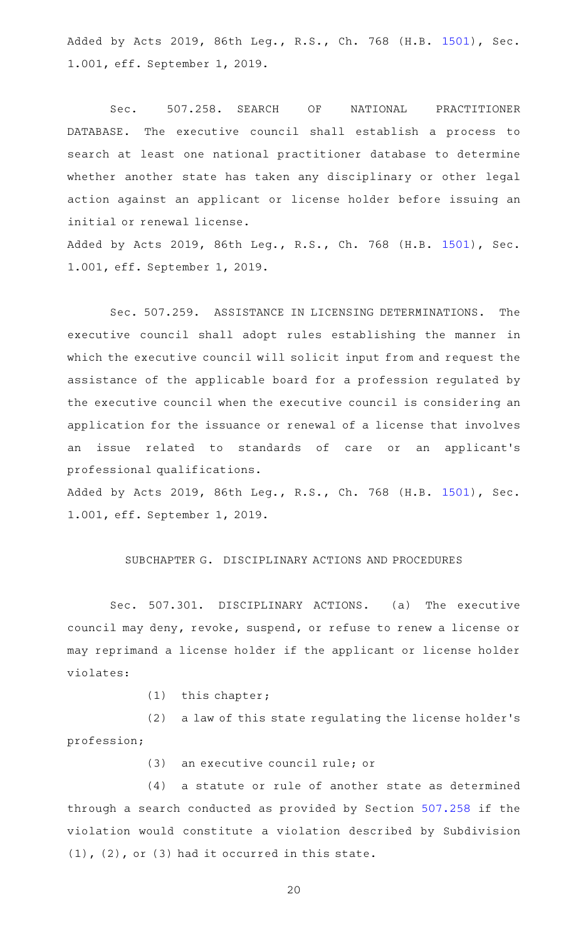Added by Acts 2019, 86th Leg., R.S., Ch. 768 (H.B. [1501](http://www.legis.state.tx.us/tlodocs/86R/billtext/html/HB01501F.HTM)), Sec. 1.001, eff. September 1, 2019.

Sec. 507.258. SEARCH OF NATIONAL PRACTITIONER DATABASE. The executive council shall establish a process to search at least one national practitioner database to determine whether another state has taken any disciplinary or other legal action against an applicant or license holder before issuing an initial or renewal license.

Added by Acts 2019, 86th Leg., R.S., Ch. 768 (H.B. [1501](http://www.legis.state.tx.us/tlodocs/86R/billtext/html/HB01501F.HTM)), Sec. 1.001, eff. September 1, 2019.

Sec. 507.259. ASSISTANCE IN LICENSING DETERMINATIONS. The executive council shall adopt rules establishing the manner in which the executive council will solicit input from and request the assistance of the applicable board for a profession regulated by the executive council when the executive council is considering an application for the issuance or renewal of a license that involves an issue related to standards of care or an applicant 's professional qualifications.

Added by Acts 2019, 86th Leg., R.S., Ch. 768 (H.B. [1501](http://www.legis.state.tx.us/tlodocs/86R/billtext/html/HB01501F.HTM)), Sec. 1.001, eff. September 1, 2019.

# SUBCHAPTER G. DISCIPLINARY ACTIONS AND PROCEDURES

Sec. 507.301. DISCIPLINARY ACTIONS. (a) The executive council may deny, revoke, suspend, or refuse to renew a license or may reprimand a license holder if the applicant or license holder violates:

 $(1)$  this chapter;

(2) a law of this state regulating the license holder's profession;

(3) an executive council rule; or

(4) a statute or rule of another state as determined through a search conducted as provided by Section [507.258](http://www.statutes.legis.state.tx.us/GetStatute.aspx?Code=OC&Value=507.258) if the violation would constitute a violation described by Subdivision (1), (2), or (3) had it occurred in this state.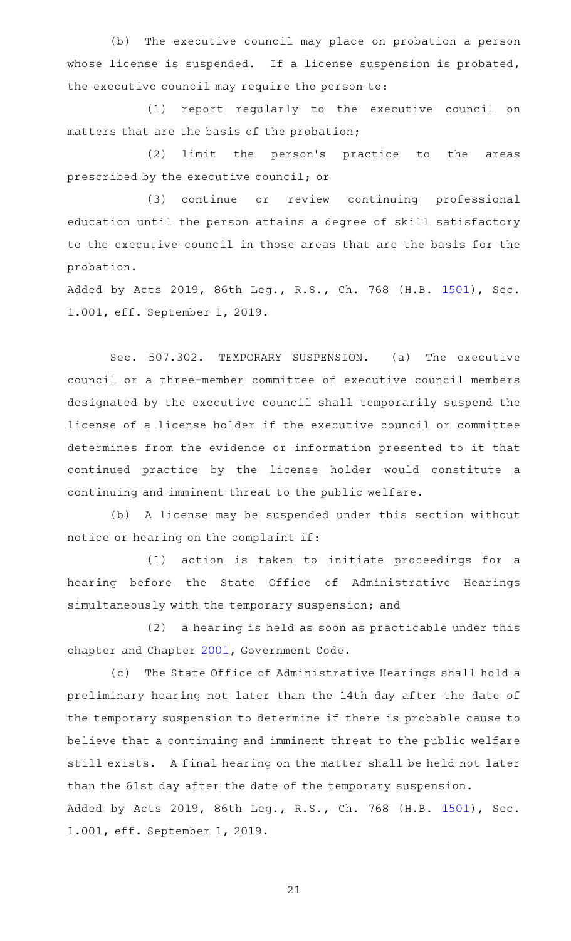(b) The executive council may place on probation a person whose license is suspended. If a license suspension is probated, the executive council may require the person to:

(1) report regularly to the executive council on matters that are the basis of the probation;

(2) limit the person's practice to the areas prescribed by the executive council; or

(3) continue or review continuing professional education until the person attains a degree of skill satisfactory to the executive council in those areas that are the basis for the probation.

Added by Acts 2019, 86th Leg., R.S., Ch. 768 (H.B. [1501](http://www.legis.state.tx.us/tlodocs/86R/billtext/html/HB01501F.HTM)), Sec. 1.001, eff. September 1, 2019.

Sec. 507.302. TEMPORARY SUSPENSION. (a) The executive council or a three-member committee of executive council members designated by the executive council shall temporarily suspend the license of a license holder if the executive council or committee determines from the evidence or information presented to it that continued practice by the license holder would constitute a continuing and imminent threat to the public welfare.

(b) A license may be suspended under this section without notice or hearing on the complaint if:

(1) action is taken to initiate proceedings for a hearing before the State Office of Administrative Hearings simultaneously with the temporary suspension; and

 $(2)$  a hearing is held as soon as practicable under this chapter and Chapter [2001,](http://www.statutes.legis.state.tx.us/GetStatute.aspx?Code=GV&Value=2001) Government Code.

(c) The State Office of Administrative Hearings shall hold a preliminary hearing not later than the 14th day after the date of the temporary suspension to determine if there is probable cause to believe that a continuing and imminent threat to the public welfare still exists. A final hearing on the matter shall be held not later than the 61st day after the date of the temporary suspension. Added by Acts 2019, 86th Leg., R.S., Ch. 768 (H.B. [1501](http://www.legis.state.tx.us/tlodocs/86R/billtext/html/HB01501F.HTM)), Sec. 1.001, eff. September 1, 2019.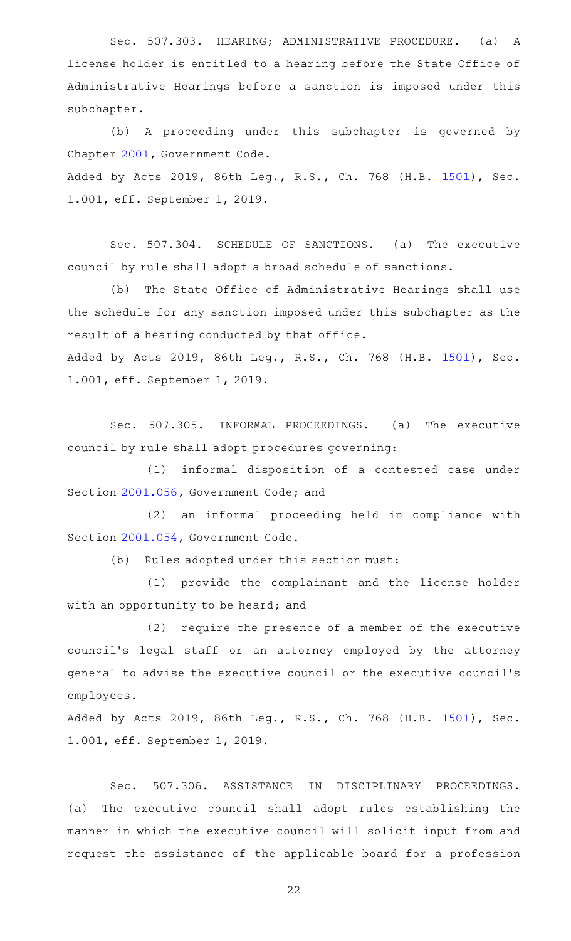Sec. 507.303. HEARING; ADMINISTRATIVE PROCEDURE. (a) A license holder is entitled to a hearing before the State Office of Administrative Hearings before a sanction is imposed under this subchapter.

(b) A proceeding under this subchapter is governed by Chapter [2001](http://www.statutes.legis.state.tx.us/GetStatute.aspx?Code=GV&Value=2001), Government Code. Added by Acts 2019, 86th Leg., R.S., Ch. 768 (H.B. [1501](http://www.legis.state.tx.us/tlodocs/86R/billtext/html/HB01501F.HTM)), Sec. 1.001, eff. September 1, 2019.

Sec. 507.304. SCHEDULE OF SANCTIONS. (a) The executive council by rule shall adopt a broad schedule of sanctions.

(b) The State Office of Administrative Hearings shall use the schedule for any sanction imposed under this subchapter as the result of a hearing conducted by that office.

Added by Acts 2019, 86th Leg., R.S., Ch. 768 (H.B. [1501](http://www.legis.state.tx.us/tlodocs/86R/billtext/html/HB01501F.HTM)), Sec. 1.001, eff. September 1, 2019.

Sec. 507.305. INFORMAL PROCEEDINGS. (a) The executive council by rule shall adopt procedures governing:

(1) informal disposition of a contested case under Section [2001.056](http://www.statutes.legis.state.tx.us/GetStatute.aspx?Code=GV&Value=2001.056), Government Code; and

(2) an informal proceeding held in compliance with Section [2001.054](http://www.statutes.legis.state.tx.us/GetStatute.aspx?Code=GV&Value=2001.054), Government Code.

(b) Rules adopted under this section must:

(1) provide the complainant and the license holder with an opportunity to be heard; and

 $(2)$  require the presence of a member of the executive council 's legal staff or an attorney employed by the attorney general to advise the executive council or the executive council 's employees.

Added by Acts 2019, 86th Leg., R.S., Ch. 768 (H.B. [1501](http://www.legis.state.tx.us/tlodocs/86R/billtext/html/HB01501F.HTM)), Sec. 1.001, eff. September 1, 2019.

Sec. 507.306. ASSISTANCE IN DISCIPLINARY PROCEEDINGS. (a) The executive council shall adopt rules establishing the manner in which the executive council will solicit input from and request the assistance of the applicable board for a profession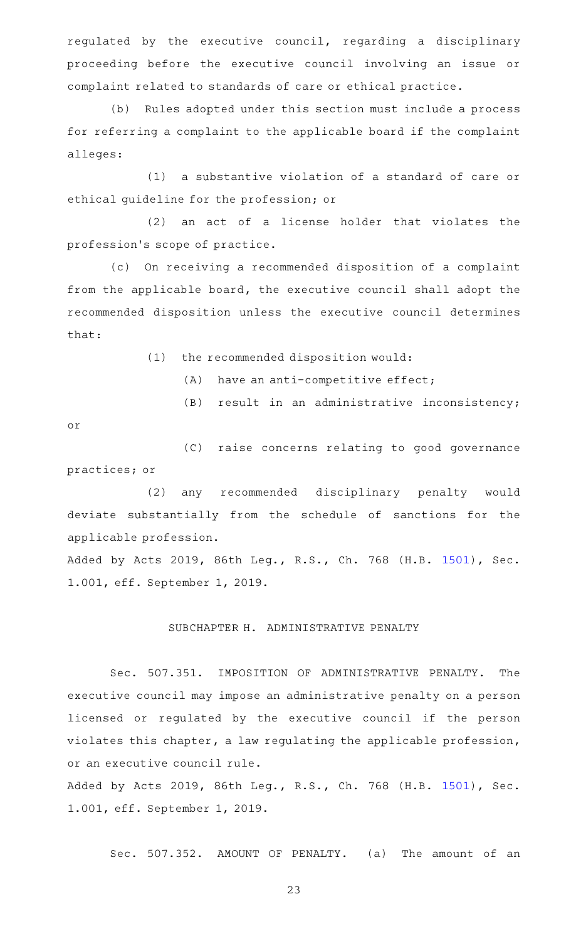regulated by the executive council, regarding a disciplinary proceeding before the executive council involving an issue or complaint related to standards of care or ethical practice.

(b) Rules adopted under this section must include a process for referring a complaint to the applicable board if the complaint alleges:

(1) a substantive violation of a standard of care or ethical guideline for the profession; or

 $(2)$  an act of a license holder that violates the profession 's scope of practice.

(c) On receiving a recommended disposition of a complaint from the applicable board, the executive council shall adopt the recommended disposition unless the executive council determines that:

- $(1)$  the recommended disposition would:
	- $(A)$  have an anti-competitive effect;
	- $(B)$  result in an administrative inconsistency;

or

(C) raise concerns relating to good governance practices; or

(2) any recommended disciplinary penalty would deviate substantially from the schedule of sanctions for the applicable profession.

Added by Acts 2019, 86th Leg., R.S., Ch. 768 (H.B. [1501](http://www.legis.state.tx.us/tlodocs/86R/billtext/html/HB01501F.HTM)), Sec. 1.001, eff. September 1, 2019.

### SUBCHAPTER H. ADMINISTRATIVE PENALTY

Sec. 507.351. IMPOSITION OF ADMINISTRATIVE PENALTY. The executive council may impose an administrative penalty on a person licensed or regulated by the executive council if the person violates this chapter, a law regulating the applicable profession, or an executive council rule.

Added by Acts 2019, 86th Leg., R.S., Ch. 768 (H.B. [1501](http://www.legis.state.tx.us/tlodocs/86R/billtext/html/HB01501F.HTM)), Sec. 1.001, eff. September 1, 2019.

Sec. 507.352. AMOUNT OF PENALTY. (a) The amount of an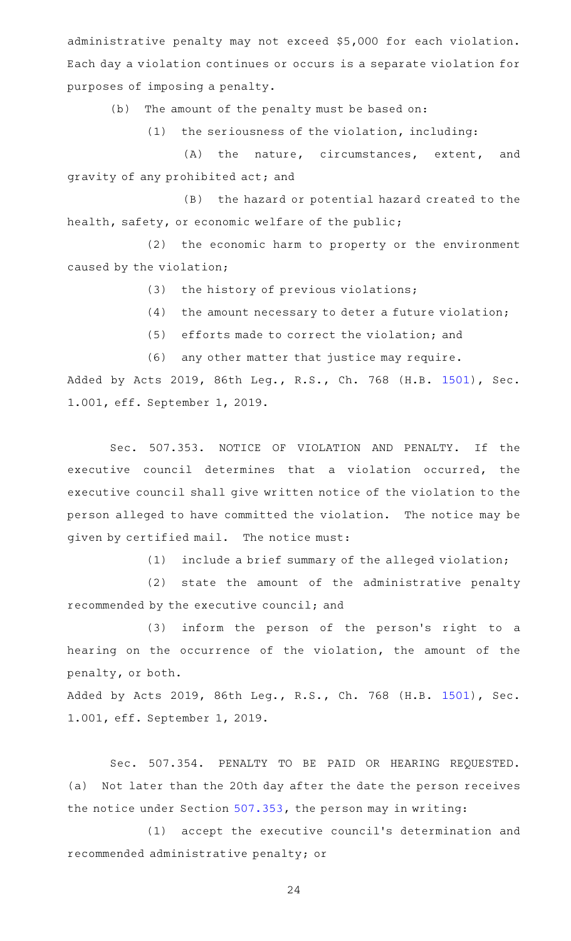administrative penalty may not exceed \$5,000 for each violation. Each day a violation continues or occurs is a separate violation for purposes of imposing a penalty.

(b) The amount of the penalty must be based on:

 $(1)$  the seriousness of the violation, including:

(A) the nature, circumstances, extent, and gravity of any prohibited act; and

(B) the hazard or potential hazard created to the health, safety, or economic welfare of the public;

(2) the economic harm to property or the environment caused by the violation;

(3) the history of previous violations;

- $(4)$  the amount necessary to deter a future violation;
- $(5)$  efforts made to correct the violation; and

(6) any other matter that justice may require.

Added by Acts 2019, 86th Leg., R.S., Ch. 768 (H.B. [1501](http://www.legis.state.tx.us/tlodocs/86R/billtext/html/HB01501F.HTM)), Sec. 1.001, eff. September 1, 2019.

Sec. 507.353. NOTICE OF VIOLATION AND PENALTY. If the executive council determines that a violation occurred, the executive council shall give written notice of the violation to the person alleged to have committed the violation. The notice may be given by certified mail. The notice must:

 $(1)$  include a brief summary of the alleged violation;

(2) state the amount of the administrative penalty recommended by the executive council; and

(3) inform the person of the person's right to a hearing on the occurrence of the violation, the amount of the penalty, or both.

Added by Acts 2019, 86th Leg., R.S., Ch. 768 (H.B. [1501](http://www.legis.state.tx.us/tlodocs/86R/billtext/html/HB01501F.HTM)), Sec. 1.001, eff. September 1, 2019.

Sec. 507.354. PENALTY TO BE PAID OR HEARING REQUESTED. (a) Not later than the 20th day after the date the person receives the notice under Section [507.353](http://www.statutes.legis.state.tx.us/GetStatute.aspx?Code=OC&Value=507.353), the person may in writing:

(1) accept the executive council's determination and recommended administrative penalty; or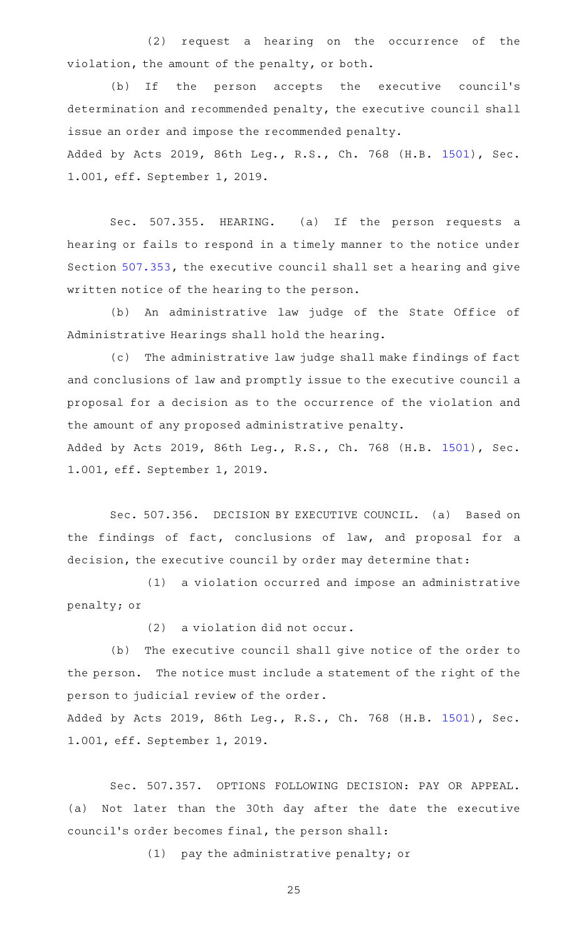(2) request a hearing on the occurrence of the violation, the amount of the penalty, or both.

(b) If the person accepts the executive council's determination and recommended penalty, the executive council shall issue an order and impose the recommended penalty. Added by Acts 2019, 86th Leg., R.S., Ch. 768 (H.B. [1501](http://www.legis.state.tx.us/tlodocs/86R/billtext/html/HB01501F.HTM)), Sec.

1.001, eff. September 1, 2019.

Sec. 507.355. HEARING. (a) If the person requests a hearing or fails to respond in a timely manner to the notice under Section [507.353](http://www.statutes.legis.state.tx.us/GetStatute.aspx?Code=OC&Value=507.353), the executive council shall set a hearing and give written notice of the hearing to the person.

(b) An administrative law judge of the State Office of Administrative Hearings shall hold the hearing.

(c) The administrative law judge shall make findings of fact and conclusions of law and promptly issue to the executive council a proposal for a decision as to the occurrence of the violation and the amount of any proposed administrative penalty. Added by Acts 2019, 86th Leg., R.S., Ch. 768 (H.B. [1501](http://www.legis.state.tx.us/tlodocs/86R/billtext/html/HB01501F.HTM)), Sec.

1.001, eff. September 1, 2019.

Sec. 507.356. DECISION BY EXECUTIVE COUNCIL. (a) Based on the findings of fact, conclusions of law, and proposal for a decision, the executive council by order may determine that:

(1) a violation occurred and impose an administrative penalty; or

 $(2)$  a violation did not occur.

(b) The executive council shall give notice of the order to the person. The notice must include a statement of the right of the person to judicial review of the order.

Added by Acts 2019, 86th Leg., R.S., Ch. 768 (H.B. [1501](http://www.legis.state.tx.us/tlodocs/86R/billtext/html/HB01501F.HTM)), Sec. 1.001, eff. September 1, 2019.

Sec. 507.357. OPTIONS FOLLOWING DECISION: PAY OR APPEAL. (a) Not later than the 30th day after the date the executive council 's order becomes final, the person shall:

 $(1)$  pay the administrative penalty; or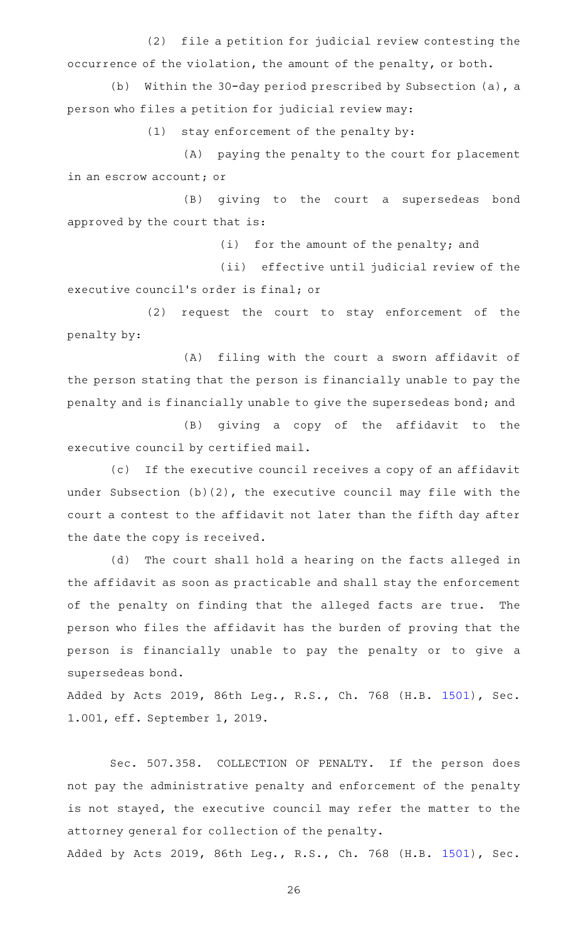(2) file a petition for judicial review contesting the occurrence of the violation, the amount of the penalty, or both.

(b) Within the 30-day period prescribed by Subsection (a), a person who files a petition for judicial review may:

 $(1)$  stay enforcement of the penalty by:

(A) paying the penalty to the court for placement in an escrow account; or

(B) giving to the court a supersedeas bond approved by the court that is:

 $(i)$  for the amount of the penalty; and

(ii) effective until judicial review of the executive council 's order is final; or

(2) request the court to stay enforcement of the penalty by:

(A) filing with the court a sworn affidavit of the person stating that the person is financially unable to pay the penalty and is financially unable to give the supersedeas bond; and

(B) giving a copy of the affidavit to the executive council by certified mail.

(c) If the executive council receives a copy of an affidavit under Subsection (b)(2), the executive council may file with the court a contest to the affidavit not later than the fifth day after the date the copy is received.

(d) The court shall hold a hearing on the facts alleged in the affidavit as soon as practicable and shall stay the enforcement of the penalty on finding that the alleged facts are true. The person who files the affidavit has the burden of proving that the person is financially unable to pay the penalty or to give a supersedeas bond.

Added by Acts 2019, 86th Leg., R.S., Ch. 768 (H.B. [1501](http://www.legis.state.tx.us/tlodocs/86R/billtext/html/HB01501F.HTM)), Sec. 1.001, eff. September 1, 2019.

Sec. 507.358. COLLECTION OF PENALTY. If the person does not pay the administrative penalty and enforcement of the penalty is not stayed, the executive council may refer the matter to the attorney general for collection of the penalty.

Added by Acts 2019, 86th Leg., R.S., Ch. 768 (H.B. [1501](http://www.legis.state.tx.us/tlodocs/86R/billtext/html/HB01501F.HTM)), Sec.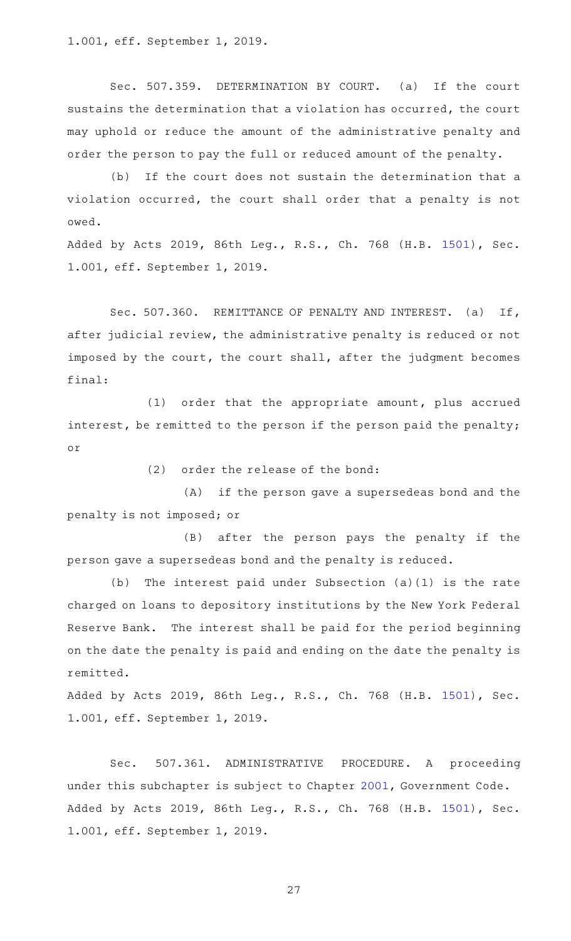1.001, eff. September 1, 2019.

Sec. 507.359. DETERMINATION BY COURT. (a) If the court sustains the determination that a violation has occurred, the court may uphold or reduce the amount of the administrative penalty and order the person to pay the full or reduced amount of the penalty.

(b) If the court does not sustain the determination that a violation occurred, the court shall order that a penalty is not owed.

Added by Acts 2019, 86th Leg., R.S., Ch. 768 (H.B. [1501](http://www.legis.state.tx.us/tlodocs/86R/billtext/html/HB01501F.HTM)), Sec. 1.001, eff. September 1, 2019.

Sec. 507.360. REMITTANCE OF PENALTY AND INTEREST. (a) If, after judicial review, the administrative penalty is reduced or not imposed by the court, the court shall, after the judgment becomes final:

(1) order that the appropriate amount, plus accrued interest, be remitted to the person if the person paid the penalty; or

(2) order the release of the bond:

(A) if the person gave a supersedeas bond and the penalty is not imposed; or

(B) after the person pays the penalty if the person gave a supersedeas bond and the penalty is reduced.

(b) The interest paid under Subsection (a)(1) is the rate charged on loans to depository institutions by the New York Federal Reserve Bank. The interest shall be paid for the period beginning on the date the penalty is paid and ending on the date the penalty is remitted.

Added by Acts 2019, 86th Leg., R.S., Ch. 768 (H.B. [1501](http://www.legis.state.tx.us/tlodocs/86R/billtext/html/HB01501F.HTM)), Sec. 1.001, eff. September 1, 2019.

Sec. 507.361. ADMINISTRATIVE PROCEDURE. A proceeding under this subchapter is subject to Chapter [2001,](http://www.statutes.legis.state.tx.us/GetStatute.aspx?Code=GV&Value=2001) Government Code. Added by Acts 2019, 86th Leg., R.S., Ch. 768 (H.B. [1501](http://www.legis.state.tx.us/tlodocs/86R/billtext/html/HB01501F.HTM)), Sec. 1.001, eff. September 1, 2019.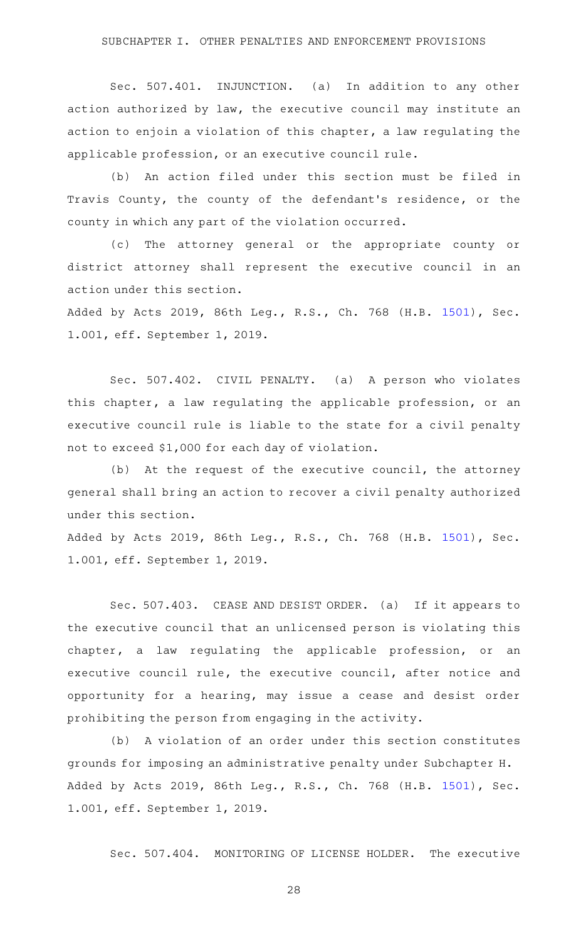Sec. 507.401. INJUNCTION. (a) In addition to any other action authorized by law, the executive council may institute an action to enjoin a violation of this chapter, a law regulating the applicable profession, or an executive council rule.

(b) An action filed under this section must be filed in Travis County, the county of the defendant 's residence, or the county in which any part of the violation occurred.

(c) The attorney general or the appropriate county or district attorney shall represent the executive council in an action under this section.

Added by Acts 2019, 86th Leg., R.S., Ch. 768 (H.B. [1501](http://www.legis.state.tx.us/tlodocs/86R/billtext/html/HB01501F.HTM)), Sec. 1.001, eff. September 1, 2019.

Sec. 507.402. CIVIL PENALTY. (a) A person who violates this chapter, a law regulating the applicable profession, or an executive council rule is liable to the state for a civil penalty not to exceed \$1,000 for each day of violation.

 $(b)$  At the request of the executive council, the attorney general shall bring an action to recover a civil penalty authorized under this section.

Added by Acts 2019, 86th Leg., R.S., Ch. 768 (H.B. [1501](http://www.legis.state.tx.us/tlodocs/86R/billtext/html/HB01501F.HTM)), Sec. 1.001, eff. September 1, 2019.

Sec. 507.403. CEASE AND DESIST ORDER. (a) If it appears to the executive council that an unlicensed person is violating this chapter, a law regulating the applicable profession, or an executive council rule, the executive council, after notice and opportunity for a hearing, may issue a cease and desist order prohibiting the person from engaging in the activity.

(b) A violation of an order under this section constitutes grounds for imposing an administrative penalty under Subchapter H. Added by Acts 2019, 86th Leg., R.S., Ch. 768 (H.B. [1501](http://www.legis.state.tx.us/tlodocs/86R/billtext/html/HB01501F.HTM)), Sec. 1.001, eff. September 1, 2019.

Sec. 507.404. MONITORING OF LICENSE HOLDER. The executive